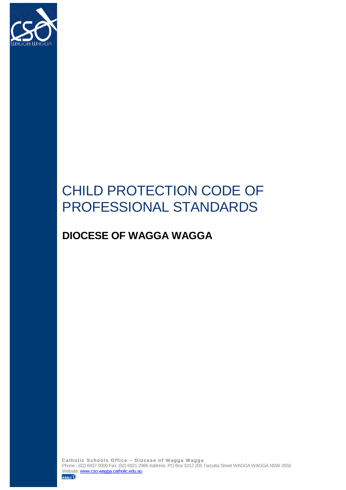

# CHILD PROTECTION CODE OF PROFESSIONAL STANDARDS

# **DIOCESE OF WAGGA WAGGA**

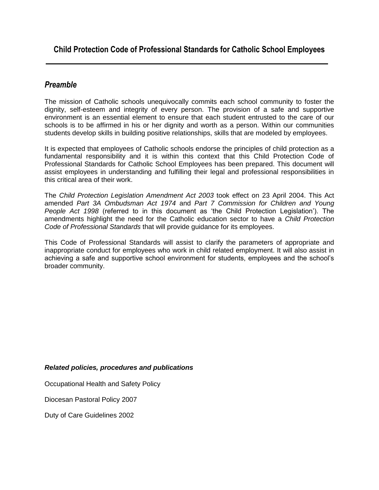### *Preamble*

The mission of Catholic schools unequivocally commits each school community to foster the dignity, self-esteem and integrity of every person. The provision of a safe and supportive environment is an essential element to ensure that each student entrusted to the care of our schools is to be affirmed in his or her dignity and worth as a person. Within our communities students develop skills in building positive relationships, skills that are modeled by employees.

It is expected that employees of Catholic schools endorse the principles of child protection as a fundamental responsibility and it is within this context that this Child Protection Code of Professional Standards for Catholic School Employees has been prepared. This document will assist employees in understanding and fulfilling their legal and professional responsibilities in this critical area of their work.

The *Child Protection Legislation Amendment Act 2003* took effect on 23 April 2004. This Act amended *Part 3A Ombudsman Act 1974* and *Part 7 Commission for Children and Young People Act 1998* (referred to in this document as 'the Child Protection Legislation'). The amendments highlight the need for the Catholic education sector to have a *Child Protection Code of Professional Standards* that will provide guidance for its employees.

This Code of Professional Standards will assist to clarify the parameters of appropriate and inappropriate conduct for employees who work in child related employment. It will also assist in achieving a safe and supportive school environment for students, employees and the school's broader community.

#### *Related policies, procedures and publications*

Occupational Health and Safety Policy

Diocesan Pastoral Policy 2007

Duty of Care Guidelines 2002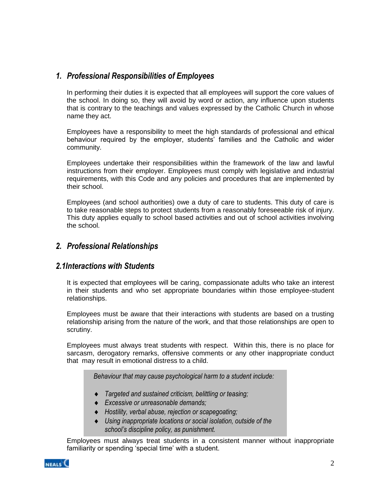# *1. Professional Responsibilities of Employees*

In performing their duties it is expected that all employees will support the core values of the school. In doing so, they will avoid by word or action, any influence upon students that is contrary to the teachings and values expressed by the Catholic Church in whose name they act.

Employees have a responsibility to meet the high standards of professional and ethical behaviour required by the employer, students' families and the Catholic and wider community.

Employees undertake their responsibilities within the framework of the law and lawful instructions from their employer. Employees must comply with legislative and industrial requirements, with this Code and any policies and procedures that are implemented by their school.

Employees (and school authorities) owe a duty of care to students. This duty of care is to take reasonable steps to protect students from a reasonably foreseeable risk of injury. This duty applies equally to school based activities and out of school activities involving the school.

### *2. Professional Relationships*

#### *2.1Interactions with Students*

It is expected that employees will be caring, compassionate adults who take an interest in their students and who set appropriate boundaries within those employee-student relationships.

Employees must be aware that their interactions with students are based on a trusting relationship arising from the nature of the work, and that those relationships are open to scrutiny.

Employees must always treat students with respect. Within this, there is no place for sarcasm, derogatory remarks, offensive comments or any other inappropriate conduct that may result in emotional distress to a child.

*Behaviour that may cause psychological harm to a student include:*

- *Targeted and sustained criticism, belittling or teasing;*
- *Excessive or unreasonable demands;*
- *Hostility, verbal abuse, rejection or scapegoating;*
- *Using inappropriate locations or social isolation, outside of the school's discipline policy, as punishment.*

Employees must always treat students in a consistent manner without inappropriate familiarity or spending 'special time' with a student.

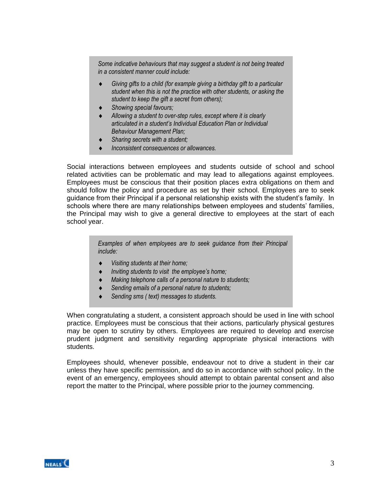*Some indicative behaviours that may suggest a student is not being treated in a consistent manner could include:*

- *Giving gifts to a child (for example giving a birthday gift to a particular student when this is not the practice with other students, or asking the student to keep the gift a secret from others);*
- *Showing special favours;*
- *Allowing a student to over-step rules, except where it is clearly articulated in a student's Individual Education Plan or Individual Behaviour Management Plan;*
- *Sharing secrets with a student;*
- *Inconsistent consequences or allowances.*

Social interactions between employees and students outside of school and school related activities can be problematic and may lead to allegations against employees. Employees must be conscious that their position places extra obligations on them and should follow the policy and procedure as set by their school. Employees are to seek guidance from their Principal if a personal relationship exists with the student's family. In schools where there are many relationships between employees and students' families, the Principal may wish to give a general directive to employees at the start of each school year.

> *Examples of when employees are to seek guidance from their Principal include:*

- *Visiting students at their home;*
- *Inviting students to visit the employee's home;*
- *Making telephone calls of a personal nature to students;*
- *Sending emails of a personal nature to students;*
- *Sending sms ( text) messages to students.*

When congratulating a student, a consistent approach should be used in line with school practice. Employees must be conscious that their actions, particularly physical gestures may be open to scrutiny by others. Employees are required to develop and exercise prudent judgment and sensitivity regarding appropriate physical interactions with students.

Employees should, whenever possible, endeavour not to drive a student in their car unless they have specific permission, and do so in accordance with school policy. In the event of an emergency, employees should attempt to obtain parental consent and also report the matter to the Principal, where possible prior to the journey commencing.

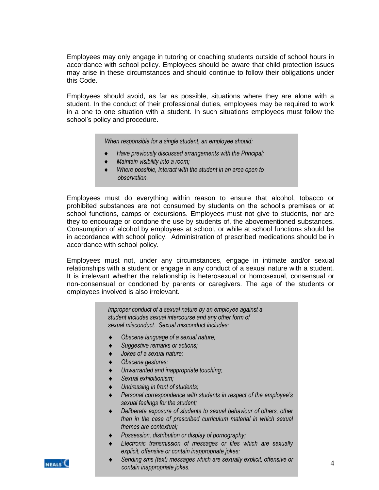Employees may only engage in tutoring or coaching students outside of school hours in accordance with school policy. Employees should be aware that child protection issues may arise in these circumstances and should continue to follow their obligations under this Code.

Employees should avoid, as far as possible, situations where they are alone with a student. In the conduct of their professional duties, employees may be required to work in a one to one situation with a student. In such situations employees must follow the school's policy and procedure.

*When responsible for a single student, an employee should:*

- *Have previously discussed arrangements with the Principal;*
- *Maintain visibility into a room;*
- *Where possible, interact with the student in an area open to observation.*

Employees must do everything within reason to ensure that alcohol, tobacco or prohibited substances are not consumed by students on the school's premises or at school functions, camps or excursions. Employees must not give to students, nor are they to encourage or condone the use by students of, the abovementioned substances. Consumption of alcohol by employees at school, or while at school functions should be in accordance with school policy. Administration of prescribed medications should be in accordance with school policy.

Employees must not, under any circumstances, engage in intimate and/or sexual relationships with a student or engage in any conduct of a sexual nature with a student. It is irrelevant whether the relationship is heterosexual or homosexual, consensual or non-consensual or condoned by parents or caregivers. The age of the students or employees involved is also irrelevant.

> *Improper conduct of a sexual nature by an employee against a student includes sexual intercourse and any other form of sexual misconduct.. Sexual misconduct includes:*

- *Obscene language of a sexual nature;*
- *Suggestive remarks or actions;*
- *Jokes of a sexual nature;*
- *Obscene gestures;*
- *Unwarranted and inappropriate touching;*
- *Sexual exhibitionism;*
- *Undressing in front of students;*
- *Personal correspondence with students in respect of the employee's sexual feelings for the student;*
- *Deliberate exposure of students to sexual behaviour of others, other than in the case of prescribed curriculum material in which sexual themes are contextual;*
- *Possession, distribution or display of pornography;*
- *Electronic transmission of messages or files which are sexually explicit, offensive or contain inappropriate jokes;*



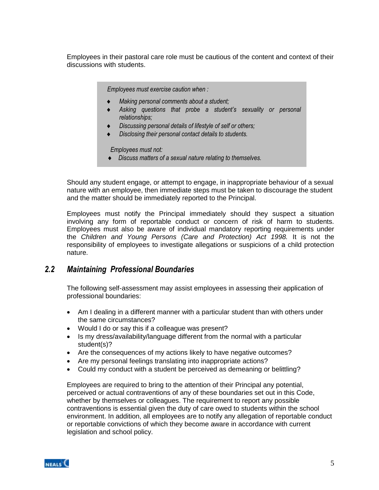Employees in their pastoral care role must be cautious of the content and context of their discussions with students.

*Employees must exercise caution when :*

- *Making personal comments about a student;*
- *Asking questions that probe a student's sexuality or personal relationships;*
- *Discussing personal details of lifestyle of self or others;*
- *Disclosing their personal contact details to students.*

 *Employees must not:*

*Discuss matters of a sexual nature relating to themselves.*

Should any student engage, or attempt to engage, in inappropriate behaviour of a sexual nature with an employee, then immediate steps must be taken to discourage the student and the matter should be immediately reported to the Principal.

Employees must notify the Principal immediately should they suspect a situation involving any form of reportable conduct or concern of risk of harm to students. Employees must also be aware of individual mandatory reporting requirements under the *Children and Young Persons (Care and Protection) Act 1998.* It is not the responsibility of employees to investigate allegations or suspicions of a child protection nature.

#### *2.2 Maintaining Professional Boundaries*

The following self-assessment may assist employees in assessing their application of professional boundaries:

- Am I dealing in a different manner with a particular student than with others under the same circumstances?
- Would I do or say this if a colleague was present?
- Is my dress/availability/language different from the normal with a particular student(s)?
- Are the consequences of my actions likely to have negative outcomes?
- Are my personal feelings translating into inappropriate actions?
- Could my conduct with a student be perceived as demeaning or belittling?

Employees are required to bring to the attention of their Principal any potential, perceived or actual contraventions of any of these boundaries set out in this Code, whether by themselves or colleagues. The requirement to report any possible contraventions is essential given the duty of care owed to students within the school environment. In addition, all employees are to notify any allegation of reportable conduct or reportable convictions of which they become aware in accordance with current legislation and school policy.

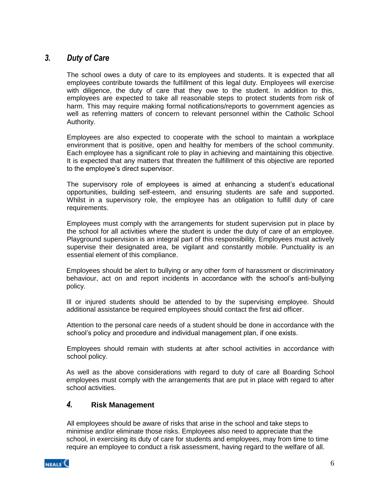#### *3. Duty of Care*

The school owes a duty of care to its employees and students. It is expected that all employees contribute towards the fulfillment of this legal duty. Employees will exercise with diligence, the duty of care that they owe to the student. In addition to this, employees are expected to take all reasonable steps to protect students from risk of harm. This may require making formal notifications/reports to government agencies as well as referring matters of concern to relevant personnel within the Catholic School Authority.

Employees are also expected to cooperate with the school to maintain a workplace environment that is positive, open and healthy for members of the school community. Each employee has a significant role to play in achieving and maintaining this objective. It is expected that any matters that threaten the fulfillment of this objective are reported to the employee's direct supervisor.

The supervisory role of employees is aimed at enhancing a student's educational opportunities, building self-esteem, and ensuring students are safe and supported. Whilst in a supervisory role, the employee has an obligation to fulfill duty of care requirements.

Employees must comply with the arrangements for student supervision put in place by the school for all activities where the student is under the duty of care of an employee. Playground supervision is an integral part of this responsibility. Employees must actively supervise their designated area, be vigilant and constantly mobile. Punctuality is an essential element of this compliance.

Employees should be alert to bullying or any other form of harassment or discriminatory behaviour, act on and report incidents in accordance with the school's anti-bullying policy.

Ill or injured students should be attended to by the supervising employee. Should additional assistance be required employees should contact the first aid officer.

Attention to the personal care needs of a student should be done in accordance with the school's policy and procedure and individual management plan, if one exists.

Employees should remain with students at after school activities in accordance with school policy.

As well as the above considerations with regard to duty of care all Boarding School employees must comply with the arrangements that are put in place with regard to after school activities.

#### *4.* **Risk Management**

All employees should be aware of risks that arise in the school and take steps to minimise and/or eliminate those risks. Employees also need to appreciate that the school, in exercising its duty of care for students and employees, may from time to time require an employee to conduct a risk assessment, having regard to the welfare of all.

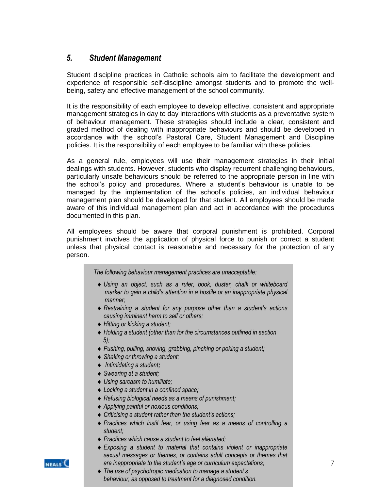### *5. Student Management*

 Student discipline practices in Catholic schools aim to facilitate the development and experience of responsible self-discipline amongst students and to promote the wellbeing, safety and effective management of the school community.

 It is the responsibility of each employee to develop effective, consistent and appropriate management strategies in day to day interactions with students as a preventative system of behaviour management. These strategies should include a clear, consistent and graded method of dealing with inappropriate behaviours and should be developed in accordance with the school's Pastoral Care, Student Management and Discipline policies. It is the responsibility of each employee to be familiar with these policies.

As a general rule, employees will use their management strategies in their initial dealings with students. However, students who display recurrent challenging behaviours, particularly unsafe behaviours should be referred to the appropriate person in line with the school's policy and procedures. Where a student's behaviour is unable to be managed by the implementation of the school's policies, an individual behaviour management plan should be developed for that student. All employees should be made aware of this individual management plan and act in accordance with the procedures documented in this plan.

All employees should be aware that corporal punishment is prohibited. Corporal punishment involves the application of physical force to punish or correct a student unless that physical contact is reasonable and necessary for the protection of any person.

*The following behaviour management practices are unacceptable:*

- *Using an object, such as a ruler, book, duster, chalk or whiteboard marker to gain a child's attention in a hostile or an inappropriate physical manner;*
- *Restraining a student for any purpose other than a student's actions causing imminent harm to self or others;*
- *Hitting or kicking a student;*
- *Holding a student (other than for the circumstances outlined in section 5);*
- *Pushing, pulling, shoving, grabbing, pinching or poking a student;*
- *Shaking or throwing a student;*
- *Intimidating a student;*
- *Swearing at a student;*
- *Using sarcasm to humiliate;*
- *Locking a student in a confined space;*
- *Refusing biological needs as a means of punishment;*
- *Applying painful or noxious conditions;*
- *Criticising a student rather than the student's actions;*
- *Practices which instil fear, or using fear as a means of controlling a student;*
- *Practices which cause a student to feel alienated;*
- *Exposing a student to material that contains violent or inappropriate sexual messages or themes, or contains adult concepts or themes that are inappropriate to the student's age or curriculum expectations;*



 *The use of psychotropic medication to manage a student's behaviour, as opposed to treatment for a diagnosed condition.*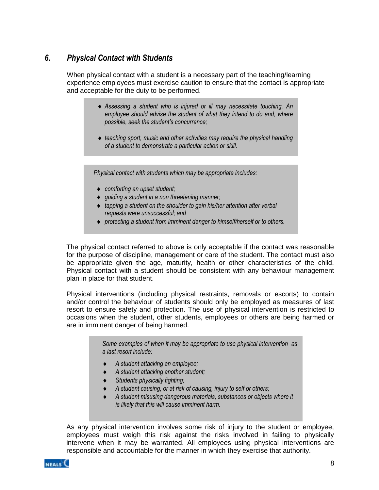# *6. Physical Contact with Students*

When physical contact with a student is a necessary part of the teaching/learning experience employees must exercise caution to ensure that the contact is appropriate and acceptable for the duty to be performed.

- *Assessing a student who is injured or ill may necessitate touching. An employee should advise the student of what they intend to do and, where possible, seek the student's concurrence;*
- *teaching sport, music and other activities may require the physical handling of a student to demonstrate a particular action or skill.*

*Physical contact with students which may be appropriate includes:*

- *comforting an upset student;*
- *guiding a student in a non threatening manner;*
- *tapping a student on the shoulder to gain his/her attention after verbal requests were unsuccessful; and*
- *protecting a student from imminent danger to himself/herself or to others.*

The physical contact referred to above is only acceptable if the contact was reasonable for the purpose of discipline, management or care of the student. The contact must also be appropriate given the age, maturity, health or other characteristics of the child. Physical contact with a student should be consistent with any behaviour management plan in place for that student.

Physical interventions (including physical restraints, removals or escorts) to contain and/or control the behaviour of students should only be employed as measures of last resort to ensure safety and protection. The use of physical intervention is restricted to occasions when the student, other students, employees or others are being harmed or are in imminent danger of being harmed.

> *Some examples of when it may be appropriate to use physical intervention as a last resort include:*

- *A student attacking an employee;*
- *A student attacking another student;*
- *Students physically fighting;*
- *A student causing, or at risk of causing, injury to self or others;*
- *A student misusing dangerous materials, substances or objects where it is likely that this will cause imminent harm.*

As any physical intervention involves some risk of injury to the student or employee, employees must weigh this risk against the risks involved in failing to physically intervene when it may be warranted. All employees using physical interventions are responsible and accountable for the manner in which they exercise that authority.

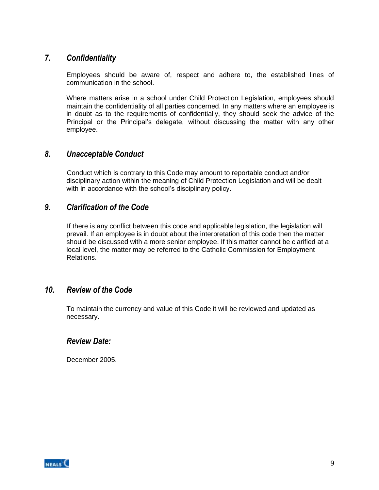### *7. Confidentiality*

Employees should be aware of, respect and adhere to, the established lines of communication in the school.

Where matters arise in a school under Child Protection Legislation, employees should maintain the confidentiality of all parties concerned. In any matters where an employee is in doubt as to the requirements of confidentially, they should seek the advice of the Principal or the Principal's delegate, without discussing the matter with any other employee.

#### *8. Unacceptable Conduct*

Conduct which is contrary to this Code may amount to reportable conduct and/or disciplinary action within the meaning of Child Protection Legislation and will be dealt with in accordance with the school's disciplinary policy.

#### *9. Clarification of the Code*

If there is any conflict between this code and applicable legislation, the legislation will prevail. If an employee is in doubt about the interpretation of this code then the matter should be discussed with a more senior employee. If this matter cannot be clarified at a local level, the matter may be referred to the Catholic Commission for Employment Relations.

#### *10. Review of the Code*

To maintain the currency and value of this Code it will be reviewed and updated as necessary.

#### *Review Date:*

December 2005.

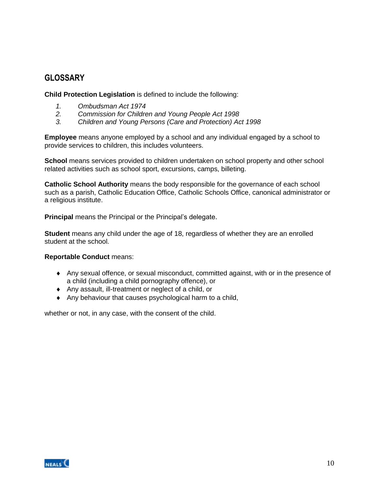### **GLOSSARY**

**Child Protection Legislation** is defined to include the following:

- *1. Ombudsman Act 1974*
- *2. Commission for Children and Young People Act 1998*
- *3. Children and Young Persons (Care and Protection) Act 1998*

**Employee** means anyone employed by a school and any individual engaged by a school to provide services to children, this includes volunteers.

**School** means services provided to children undertaken on school property and other school related activities such as school sport, excursions, camps, billeting.

**Catholic School Authority** means the body responsible for the governance of each school such as a parish, Catholic Education Office, Catholic Schools Office, canonical administrator or a religious institute.

**Principal** means the Principal or the Principal's delegate.

**Student** means any child under the age of 18, regardless of whether they are an enrolled student at the school.

#### **Reportable Conduct** means:

- Any sexual offence, or sexual misconduct, committed against, with or in the presence of a child (including a child pornography offence), or
- Any assault, ill-treatment or neglect of a child, or
- Any behaviour that causes psychological harm to a child,

whether or not, in any case, with the consent of the child.